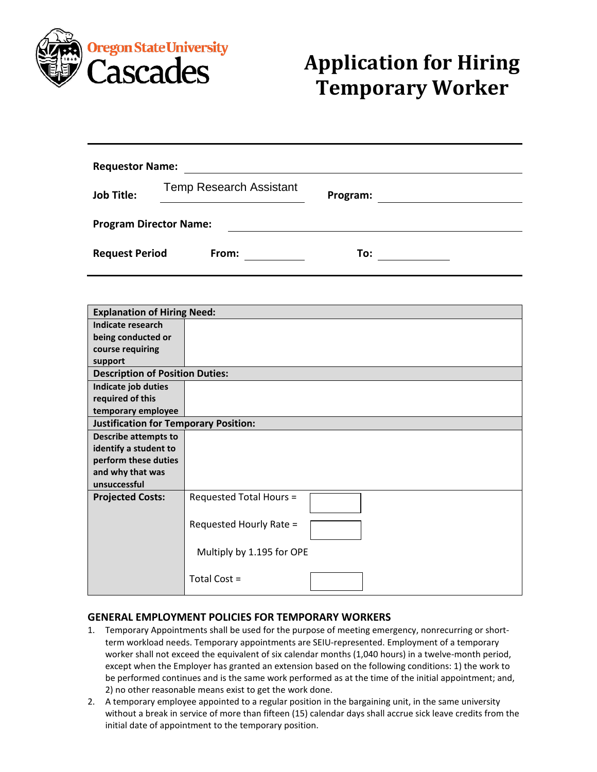

## **Application for Hiring Temporary Worker**

| <b>Requestor Name:</b>        |                                |          |  |  |
|-------------------------------|--------------------------------|----------|--|--|
| <b>Job Title:</b>             | <b>Temp Research Assistant</b> | Program: |  |  |
| <b>Program Director Name:</b> |                                |          |  |  |
| <b>Request Period</b>         | From:                          | To:      |  |  |

| <b>Explanation of Hiring Need:</b>           |                           |  |  |
|----------------------------------------------|---------------------------|--|--|
| Indicate research                            |                           |  |  |
| being conducted or                           |                           |  |  |
| course requiring                             |                           |  |  |
| support                                      |                           |  |  |
| <b>Description of Position Duties:</b>       |                           |  |  |
| Indicate job duties                          |                           |  |  |
| required of this                             |                           |  |  |
| temporary employee                           |                           |  |  |
| <b>Justification for Temporary Position:</b> |                           |  |  |
| <b>Describe attempts to</b>                  |                           |  |  |
| identify a student to                        |                           |  |  |
| perform these duties                         |                           |  |  |
| and why that was                             |                           |  |  |
| unsuccessful                                 |                           |  |  |
| <b>Projected Costs:</b>                      | Requested Total Hours =   |  |  |
|                                              | Requested Hourly Rate =   |  |  |
|                                              | Multiply by 1.195 for OPE |  |  |
|                                              | Total Cost =              |  |  |

## **GENERAL EMPLOYMENT POLICIES FOR TEMPORARY WORKERS**

- 1. Temporary Appointments shall be used for the purpose of meeting emergency, nonrecurring or shortterm workload needs. Temporary appointments are SEIU-represented. Employment of a temporary worker shall not exceed the equivalent of six calendar months (1,040 hours) in a twelve-month period, except when the Employer has granted an extension based on the following conditions: 1) the work to be performed continues and is the same work performed as at the time of the initial appointment; and, 2) no other reasonable means exist to get the work done.
- 2. A temporary employee appointed to a regular position in the bargaining unit, in the same university without a break in service of more than fifteen (15) calendar days shall accrue sick leave credits from the initial date of appointment to the temporary position.